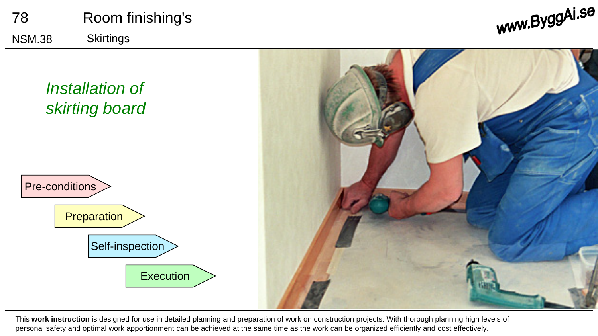

This **work instruction** is designed for use in detailed planning and preparation of work on construction projects. With thorough planning high levels of personal safety and optimal work apportionment can be achieved at the same time as the work can be organized efficiently and cost effectively.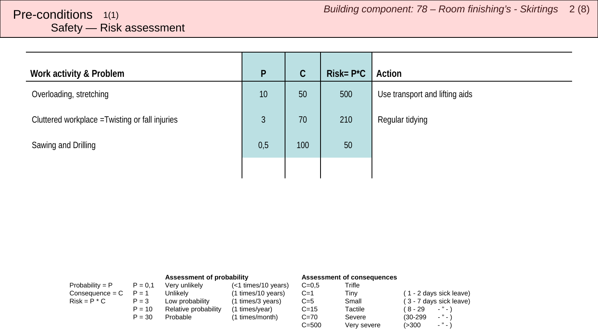<span id="page-1-0"></span>

| Work activity & Problem                         | P   | $\mathcal{C}$ | $Risk = P^*C$ | Action                         |
|-------------------------------------------------|-----|---------------|---------------|--------------------------------|
| Overloading, stretching                         | 10  | 50            | 500           | Use transport and lifting aids |
| Cluttered workplace = Twisting or fall injuries | 3   | 70            | 210           | Regular tidying                |
| Sawing and Drilling                             | 0,5 | 100           | 50            |                                |
|                                                 |     |               |               |                                |

|                   |           | Assessment of probability |                     | Assessment of consequences |             |                         |
|-------------------|-----------|---------------------------|---------------------|----------------------------|-------------|-------------------------|
| Probability = $P$ | $P = 0.1$ | Verv unlikelv             | (<1 times/10 years) | $C = 0.5$                  | Trifle      |                         |
| $Consequence = C$ | $P = 1$   | Unlikelv                  | (1 times/10 years)  | $C=1$                      | Tinv        | (1 - 2 days sick leave) |
| $Risk = P * C$    | $P = 3$   | Low probability           | (1 times/3 years)   | $C=5$                      | Small       | (3 - 7 days sick leave) |
|                   | $P = 10$  | Relative probability      | (1 times/year)      | $C = 15$                   | Tactile     | (8-29<br>$\cdots$       |
|                   | $P = 30$  | Probable                  | (1 times/month)     | $C = 70$                   | Severe      | $\cdots$<br>$(30-299)$  |
|                   |           |                           |                     | $C = 500$                  | Very severe | $ "$ $ )$<br>(>300      |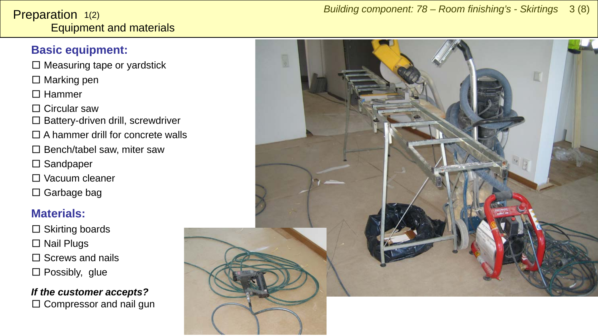#### <span id="page-2-0"></span>Equipment and materials **Preparation**  $1(2)$

#### **Basic equipment:**

- $\square$  Measuring tape or yardstick
- □ Marking pen
- □ Hammer
- □ Circular saw
- □ Battery-driven drill, screwdriver
- $\square$  A hammer drill for concrete walls
- $\square$  Bench/tabel saw, miter saw
- □ Sandpaper
- □ Vacuum cleaner
- □ Garbage bag

#### **Materials:**

□ Skirting boards □ Nail Plugs  $\Box$  Screws and nails  $\square$  Possibly, glue

*If the customer accepts?*  $\square$  Compressor and nail gun

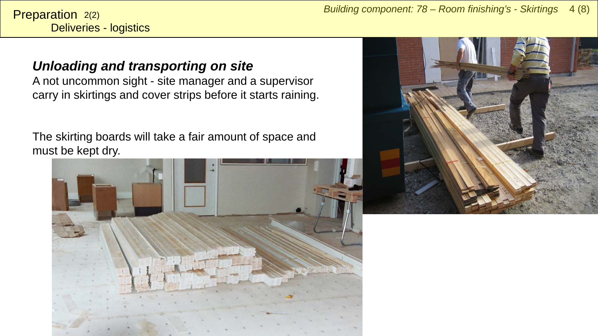Deliveries - logistics Preparation 2(2)

### *Unloading and transporting on site*

A not uncommon sight - site manager and a supervisor carry in skirtings and cover strips before it starts raining.

The skirting boards will take a fair amount of space and must be kept dry.



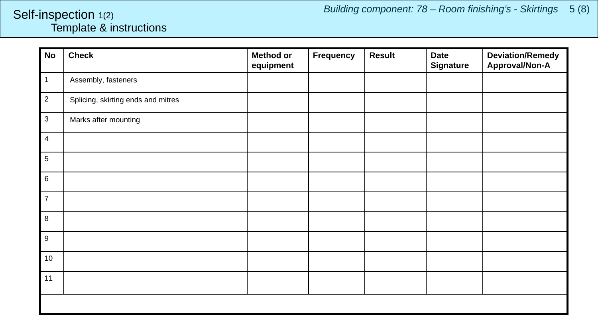#### <span id="page-4-0"></span>Template & instructions Self-inspection 1(2)

| No                  | <b>Check</b>                       | <b>Method or</b><br>equipment | Frequency | <b>Result</b> | <b>Date</b><br><b>Signature</b> | <b>Deviation/Remedy</b><br>Approval/Non-A |
|---------------------|------------------------------------|-------------------------------|-----------|---------------|---------------------------------|-------------------------------------------|
| $\mathsf{I}$ 1      | Assembly, fasteners                |                               |           |               |                                 |                                           |
| $\vert$ 2           | Splicing, skirting ends and mitres |                               |           |               |                                 |                                           |
| $\vert$ 3           | Marks after mounting               |                               |           |               |                                 |                                           |
| $\overline{4}$<br>I |                                    |                               |           |               |                                 |                                           |
| $\overline{5}$      |                                    |                               |           |               |                                 |                                           |
| $\,6\,$             |                                    |                               |           |               |                                 |                                           |
| $\mathsf{I}$ 7      |                                    |                               |           |               |                                 |                                           |
| $\,8\,$<br>ı        |                                    |                               |           |               |                                 |                                           |
| $\boldsymbol{9}$    |                                    |                               |           |               |                                 |                                           |
| 10                  |                                    |                               |           |               |                                 |                                           |
| 11                  |                                    |                               |           |               |                                 |                                           |
|                     |                                    |                               |           |               |                                 |                                           |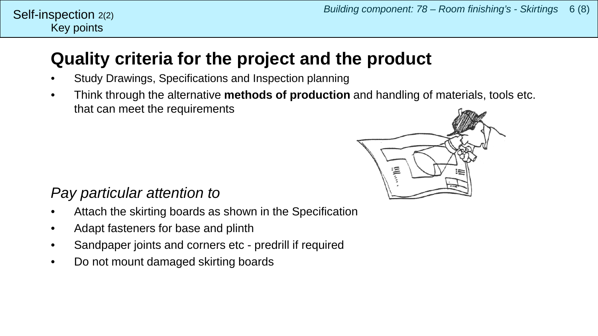## **Quality criteria for the project and the product**

- Study Drawings, Specifications and Inspection planning
- Think through the alternative **methods of production** and handling of materials, tools etc. that can meet the requirements



## *Pay particular attention to*

- Attach the skirting boards as shown in the Specification
- Adapt fasteners for base and plinth
- Sandpaper joints and corners etc predrill if required
- Do not mount damaged skirting boards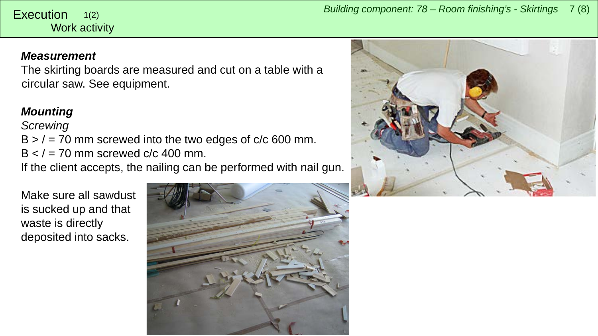#### <span id="page-6-0"></span>Work activity 1(2)

#### *Measurement*

The skirting boards are measured and cut on a table with a circular saw. See equipment.

#### *Mounting*

#### *Screwing*

 $B$  >  $/$  = 70 mm screwed into the two edges of c/c 600 mm.  $B < I = 70$  mm screwed c/c 400 mm. If the client accepts, the nailing can be performed with nail gun.

Make sure all sawdust is sucked up and that waste is directly deposited into sacks.